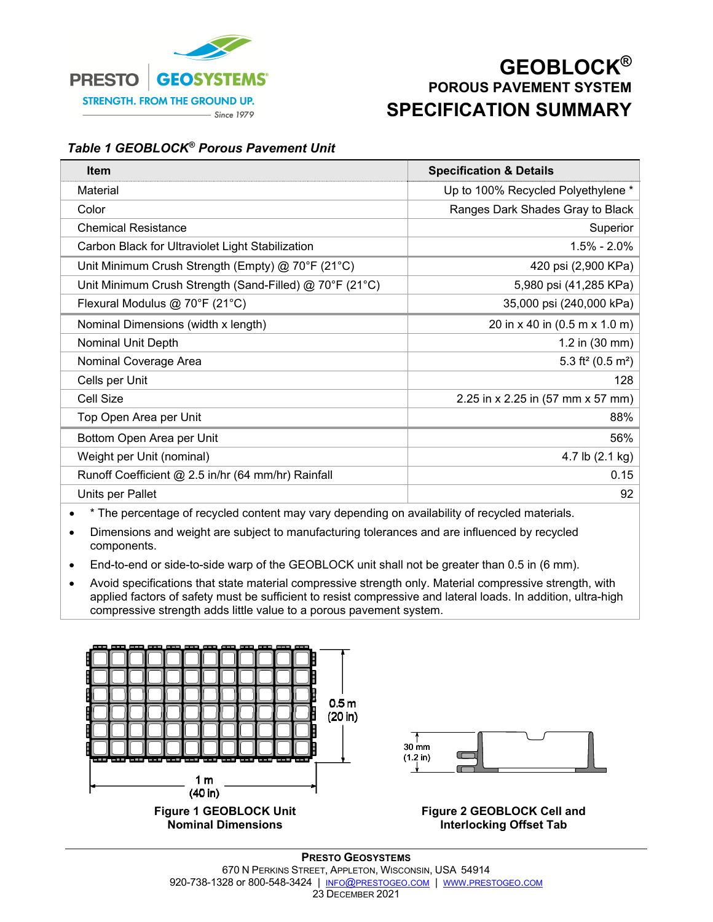

## **GEOBLOCK® POROUS PAVEMENT SYSTEM SPECIFICATION SUMMARY**

## *Table 1 GEOBLOCK® Porous Pavement Unit*

| <b>Item</b>                                             | <b>Specification &amp; Details</b>        |  |
|---------------------------------------------------------|-------------------------------------------|--|
| Material                                                | Up to 100% Recycled Polyethylene *        |  |
| Color                                                   | Ranges Dark Shades Gray to Black          |  |
| <b>Chemical Resistance</b>                              | Superior                                  |  |
| Carbon Black for Ultraviolet Light Stabilization        | $1.5\% - 2.0\%$                           |  |
| Unit Minimum Crush Strength (Empty) @ 70°F (21°C)       | 420 psi (2,900 KPa)                       |  |
| Unit Minimum Crush Strength (Sand-Filled) @ 70°F (21°C) | 5,980 psi (41,285 KPa)                    |  |
| Flexural Modulus @ 70°F (21°C)                          | 35,000 psi (240,000 kPa)                  |  |
| Nominal Dimensions (width x length)                     | 20 in x 40 in (0.5 m x 1.0 m)             |  |
| <b>Nominal Unit Depth</b>                               | 1.2 in $(30 \text{ mm})$                  |  |
| Nominal Coverage Area                                   | 5.3 ft <sup>2</sup> (0.5 m <sup>2</sup> ) |  |
| Cells per Unit                                          | 128                                       |  |
| <b>Cell Size</b>                                        | 2.25 in x 2.25 in (57 mm x 57 mm)         |  |
| Top Open Area per Unit                                  | 88%                                       |  |
| Bottom Open Area per Unit                               | 56%                                       |  |
| Weight per Unit (nominal)                               | 4.7 lb (2.1 kg)                           |  |
| Runoff Coefficient @ 2.5 in/hr (64 mm/hr) Rainfall      | 0.15                                      |  |
| Units per Pallet                                        | 92                                        |  |

• \* The percentage of recycled content may vary depending on availability of recycled materials.

 Dimensions and weight are subject to manufacturing tolerances and are influenced by recycled components.

- End-to-end or side-to-side warp of the GEOBLOCK unit shall not be greater than 0.5 in (6 mm).
- Avoid specifications that state material compressive strength only. Material compressive strength, with applied factors of safety must be sufficient to resist compressive and lateral loads. In addition, ultra-high compressive strength adds little value to a porous pavement system.



**Nominal Dimensions** 



**Figure 2 GEOBLOCK Cell and Interlocking Offset Tab**